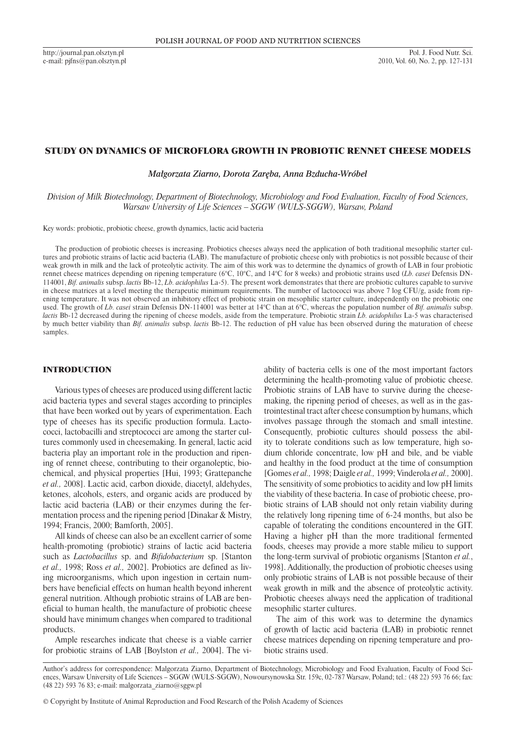http://journal.pan.olsztyn.pl e-mail: pjfns@pan.olsztyn.pl

# STUDY ON DYNAMICS OF MICROFLORA GROWTH IN PROBIOTIC RENNET CHEESE MODELS

*Małgorzata Ziarno, Dorota Zaręba, Anna Bzducha-Wróbel*

*Division of Milk Biotechnology, Department of Biotechnology, Microbiology and Food Evaluation, Faculty of Food Sciences, Warsaw University of Life Sciences – SGGW (WULS-SGGW), Warsaw, Poland*

Key words: probiotic, probiotic cheese, growth dynamics, lactic acid bacteria

The production of probiotic cheeses is increasing. Probiotics cheeses always need the application of both traditional mesophilic starter cultures and probiotic strains of lactic acid bacteria (LAB). The manufacture of probiotic cheese only with probiotics is not possible because of their weak growth in milk and the lack of proteolytic activity. The aim of this work was to determine the dynamics of growth of LAB in four probiotic rennet cheese matrices depending on ripening temperature (6°C, 10°C, and 14°C for 8 weeks) and probiotic strains used (*Lb. casei* Defensis DN-114001, *Bif. animalis* subsp. *lactis* Bb-12, *Lb. acidophilus* La-5). The present work demonstrates that there are probiotic cultures capable to survive in cheese matrices at a level meeting the therapeutic minimum requirements. The number of lactococci was above  $7 \log CFU/g$ , aside from ripening temperature. It was not observed an inhibitory effect of probiotic strain on mesophilic starter culture, independently on the probiotic one used. The growth of *Lb. casei* strain Defensis DN-114001 was better at 14°C than at 6°C, whereas the population number of *Bif. animalis* subsp. *lactis* Bb-12 decreased during the ripening of cheese models, aside from the temperature. Probiotic strain *Lb. acidophilus* La-5 was characterised by much better viability than *Bif. animalis* subsp. *lactis* Bb-12. The reduction of pH value has been observed during the maturation of cheese samples.

## INTRODUCTION

Various types of cheeses are produced using different lactic acid bacteria types and several stages according to principles that have been worked out by years of experimentation. Each type of cheeses has its specific production formula. Lactococci, lactobacilli and streptococci are among the starter cultures commonly used in cheesemaking. In general, lactic acid bacteria play an important role in the production and ripening of rennet cheese, contributing to their organoleptic, biochemical, and physical properties [Hui, 1993; Grattepanche *et al.,* 2008]. Lactic acid, carbon dioxide, diacetyl, aldehydes, ketones, alcohols, esters, and organic acids are produced by lactic acid bacteria (LAB) or their enzymes during the fermentation process and the ripening period [Dinakar & Mistry, 1994; Francis, 2000; Bamforth, 2005].

All kinds of cheese can also be an excellent carrier of some health-promoting (probiotic) strains of lactic acid bacteria such as *Lactobacillus* sp. and *Bifidobacterium* sp. [Stanton *et al.,* 1998; Ross *et al.,* 2002]. Probiotics are defined as living microorganisms, which upon ingestion in certain numbers have beneficial effects on human health beyond inherent general nutrition. Although probiotic strains of LAB are beneficial to human health, the manufacture of probiotic cheese should have minimum changes when compared to traditional products.

Ample researches indicate that cheese is a viable carrier for probiotic strains of LAB [Boylston *et al.,* 2004]. The viability of bacteria cells is one of the most important factors determining the health-promoting value of probiotic cheese. Probiotic strains of LAB have to survive during the cheesemaking, the ripening period of cheeses, as well as in the gastrointestinal tract after cheese consumption by humans, which involves passage through the stomach and small intestine. Consequently, probiotic cultures should possess the ability to tolerate conditions such as low temperature, high sodium chloride concentrate, low pH and bile, and be viable and healthy in the food product at the time of consumption [Gomes *et al.,* 1998; Daigle *et al.,* 1999; Vinderola *et al.,* 2000]. The sensitivity of some probiotics to acidity and low pH limits the viability of these bacteria. In case of probiotic cheese, probiotic strains of LAB should not only retain viability during the relatively long ripening time of 6-24 months, but also be capable of tolerating the conditions encountered in the GIT. Having a higher pH than the more traditional fermented foods, cheeses may provide a more stable milieu to support the long-term survival of probiotic organisms [Stanton *et al.*, 1998]. Additionally, the production of probiotic cheeses using only probiotic strains of LAB is not possible because of their weak growth in milk and the absence of proteolytic activity. Probiotic cheeses always need the application of traditional mesophilic starter cultures.

The aim of this work was to determine the dynamics of growth of lactic acid bacteria (LAB) in probiotic rennet cheese matrices depending on ripening temperature and probiotic strains used.

Author's address for correspondence: Malgorzata Ziarno, Department of Biotechnology, Microbiology and Food Evaluation, Faculty of Food Sciences, Warsaw University of Life Sciences – SGGW (WULS-SGGW), Nowoursynowska Str. 159c, 02-787 Warsaw, Poland; tel.: (48 22) 593 76 66; fax: (48 22) 593 76 83; e-mail: malgorzata\_ziarno@sggw.pl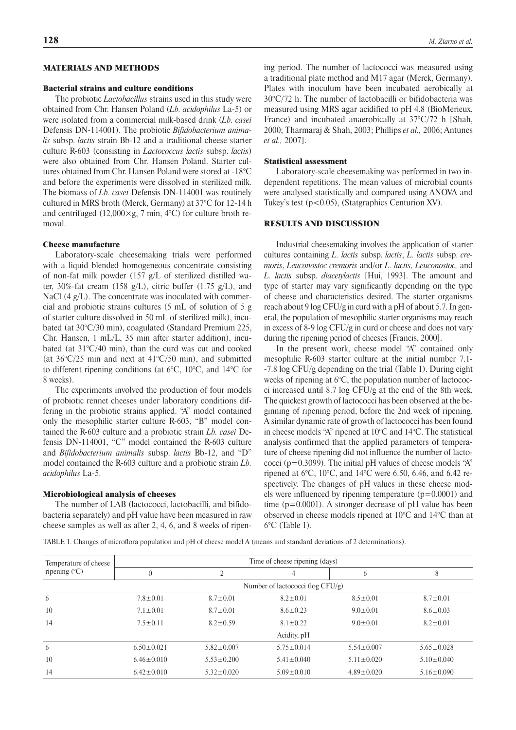## MATERIALS AND METHODS

### Bacterial strains and culture conditions

The probiotic *Lactobacillus* strains used in this study were obtained from Chr. Hansen Poland (*Lb. acidophilus* La-5) or were isolated from a commercial milk-based drink (*Lb. casei* Defensis DN-114001). The probiotic *Bifidobacterium animalis* subsp. *lactis* strain Bb-12 and a traditional cheese starter culture R-603 (consisting in *Lactococcus lactis* subsp. *lactis*) were also obtained from Chr. Hansen Poland. Starter cultures obtained from Chr. Hansen Poland were stored at -18°C and before the experiments were dissolved in sterilized milk. The biomass of *Lb. casei* Defensis DN-114001 was routinely cultured in MRS broth (Merck, Germany) at 37°C for 12-14 h and centrifuged  $(12,000 \times g, 7 \text{ min}, 4^{\circ}\text{C})$  for culture broth removal.

#### Cheese manufacture

Laboratory-scale cheesemaking trials were performed with a liquid blended homogeneous concentrate consisting of non-fat milk powder (157 g/L of sterilized distilled water, 30%-fat cream (158 g/L), citric buffer (1.75 g/L), and NaCl (4 g/L). The concentrate was inoculated with commercial and probiotic strains cultures (5 mL of solution of 5 g of starter culture dissolved in 50 mL of sterilized milk), incubated (at 30°C/30 min), coagulated (Standard Premium 225, Chr. Hansen, 1 mL/L, 35 min after starter addition), incubated (at 31°C/40 min), than the curd was cut and cooked (at  $36^{\circ}$ C/25 min and next at  $41^{\circ}$ C/50 min), and submitted to different ripening conditions (at 6°C, 10°C, and 14°C for 8 weeks).

The experiments involved the production of four models of probiotic rennet cheeses under laboratory conditions differing in the probiotic strains applied. "A" model contained only the mesophilic starter culture R-603, "B" model contained the R-603 culture and a probiotic strain *Lb. casei* Defensis DN-114001, "C" model contained the R-603 culture and *Bifidobacterium animalis* subsp. *lactis* Bb-12, and "D" model contained the R-603 culture and a probiotic strain *Lb. acidophilus* La-5.

### Microbiological analysis of cheeses

The number of LAB (lactococci, lactobacilli, and bifidobacteria separately) and pH value have been measured in raw cheese samples as well as after 2, 4, 6, and 8 weeks of ripening period. The number of lactococci was measured using a traditional plate method and M17 agar (Merck, Germany). Plates with inoculum have been incubated aerobically at 30°C/72 h. The number of lactobacilli or bifidobacteria was measured using MRS agar acidified to pH 4.8 (BioMerieux, France) and incubated anaerobically at 37°C/72 h [Shah, 2000; Tharmaraj & Shah, 2003; Phillips *et al.,* 2006; Antunes *et al.,* 2007].

#### Statistical assessment

Laboratory-scale cheesemaking was performed in two independent repetitions. The mean values of microbial counts were analysed statistically and compared using ANOVA and Tukey's test (p<0.05), (Statgraphics Centurion XV).

# RESULTS AND DISCUSSION

Industrial cheesemaking involves the application of starter cultures containing *L. lactis* subsp. *lactis*, *L. lactis* subsp. *cremoris*, *Leuconostoc cremoris* and/or *L. lactis, Leuconostoc,* and *L. lactis* subsp. *diacetylactis* [Hui, 1993]. The amount and type of starter may vary significantly depending on the type of cheese and characteristics desired. The starter organisms reach about 9 log CFU/g in curd with a pH of about 5.7. In general, the population of mesophilic starter organisms may reach in excess of 8-9 log CFU/g in curd or cheese and does not vary during the ripening period of cheeses [Francis, 2000].

In the present work, cheese model "A" contained only mesophilic R-603 starter culture at the initial number 7.1- -7.8 log CFU/g depending on the trial (Table 1). During eight weeks of ripening at 6°C, the population number of lactococci increased until 8.7 log CFU/g at the end of the 8th week. The quickest growth of lactococci has been observed at the beginning of ripening period, before the 2nd week of ripening. A similar dynamic rate of growth of lactococci has been found in cheese models "A" ripened at 10°C and 14°C. The statistical analysis confirmed that the applied parameters of temperature of cheese ripening did not influence the number of lactococci (p=0.3099). The initial pH values of cheese models "A" ripened at 6°C, 10°C, and 14°C were 6.50, 6.46, and 6.42 respectively. The changes of pH values in these cheese models were influenced by ripening temperature  $(p=0.0001)$  and time (p=0.0001). A stronger decrease of pH value has been observed in cheese models ripened at 10°C and 14°C than at 6°C (Table 1).

Table 1. Changes of microflora population and pH of cheese model A (means and standard deviations of 2 determinations).

| Temperature of cheese<br>ripening $(C)$ | Time of cheese ripening (days)       |                  |                  |                  |                  |  |
|-----------------------------------------|--------------------------------------|------------------|------------------|------------------|------------------|--|
|                                         | $\theta$                             | ↑                | 4                | 6                | 8                |  |
|                                         | Number of lactococci ( $log CFU/g$ ) |                  |                  |                  |                  |  |
| 6                                       | $7.8 \pm 0.01$                       | $8.7 \pm 0.01$   | $8.2 \pm 0.01$   | $8.5 \pm 0.01$   | $8.7 \pm 0.01$   |  |
| 10                                      | $7.1 \pm 0.01$                       | $8.7 \pm 0.01$   | $8.6 \pm 0.23$   | $9.0 \pm 0.01$   | $8.6 \pm 0.03$   |  |
| 14                                      | $7.5 \pm 0.11$                       | $8.2 \pm 0.59$   | $8.1 \pm 0.22$   | $9.0 \pm 0.01$   | $8.2 \pm 0.01$   |  |
|                                         |                                      |                  | Acidity, pH      |                  |                  |  |
| 6                                       | $6.50 \pm 0.021$                     | $5.82 \pm 0.007$ | $5.75 \pm 0.014$ | $5.54 \pm 0.007$ | $5.65 \pm 0.028$ |  |
| 10                                      | $6.46 \pm 0.010$                     | $5.53 \pm 0.200$ | $5.41 \pm 0.040$ | $5.11 \pm 0.020$ | $5.10 \pm 0.040$ |  |
| 14                                      | $6.42 \pm 0.010$                     | $5.32 \pm 0.020$ | $5.09 \pm 0.010$ | $4.89 \pm 0.020$ | $5.16 \pm 0.090$ |  |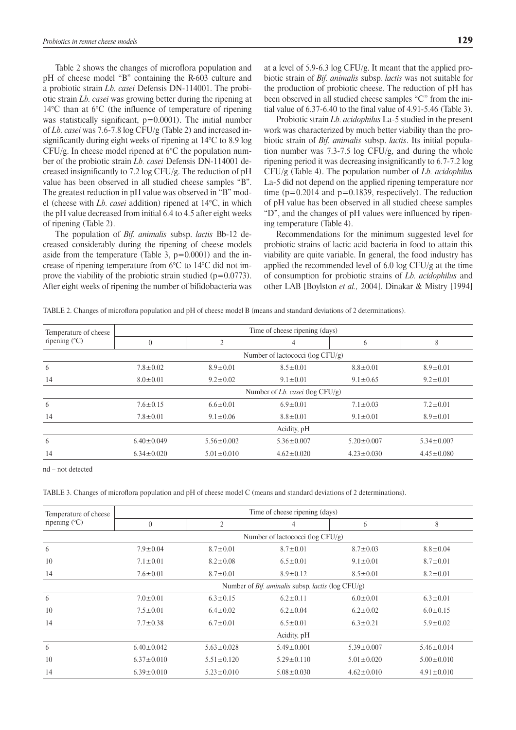Table 2 shows the changes of microflora population and pH of cheese model "B" containing the R-603 culture and a probiotic strain *Lb. casei* Defensis DN-114001. The probiotic strain *Lb. casei* was growing better during the ripening at 14°C than at 6°C (the influence of temperature of ripening was statistically significant,  $p=0.0001$ ). The initial number of *Lb. casei* was 7.6-7.8 log CFU/g (Table 2) and increased insignificantly during eight weeks of ripening at 14°C to 8.9 log CFU/g. In cheese model ripened at 6°C the population number of the probiotic strain *Lb. casei* Defensis DN-114001 decreased insignificantly to 7.2 log CFU/g. The reduction of pH value has been observed in all studied cheese samples "B". The greatest reduction in pH value was observed in "B" model (cheese with *Lb. casei* addition) ripened at 14°C, in which the pH value decreased from initial 6.4 to 4.5 after eight weeks of ripening (Table 2).

The population of *Bif. animalis* subsp. *lactis* Bb-12 decreased considerably during the ripening of cheese models aside from the temperature (Table 3,  $p=0.0001$ ) and the increase of ripening temperature from 6°C to 14°C did not improve the viability of the probiotic strain studied  $(p=0.0773)$ . After eight weeks of ripening the number of bifidobacteria was at a level of 5.9-6.3 log CFU/g. It meant that the applied probiotic strain of *Bif. animalis* subsp. *lactis* was not suitable for the production of probiotic cheese. The reduction of pH has been observed in all studied cheese samples "C" from the initial value of 6.37-6.40 to the final value of 4.91-5.46 (Table 3).

Probiotic strain *Lb. acidophilus* La-5 studied in the present work was characterized by much better viability than the probiotic strain of *Bif. animalis* subsp. *lactis*. Its initial population number was 7.3-7.5 log CFU/g, and during the whole ripening period it was decreasing insignificantly to 6.7-7.2 log CFU/g (Table 4). The population number of *Lb. acidophilus* La-5 did not depend on the applied ripening temperature nor time  $(p=0.2014$  and  $p=0.1839$ , respectively). The reduction of pH value has been observed in all studied cheese samples "D", and the changes of pH values were influenced by ripening temperature (Table 4).

Recommendations for the minimum suggested level for probiotic strains of lactic acid bacteria in food to attain this viability are quite variable. In general, the food industry has applied the recommended level of 6.0 log CFU/g at the time of consumption for probiotic strains of *Lb. acidophilus* and other LAB [Boylston *et al.,* 2004]. Dinakar & Mistry [1994]

|  |  |  |  | TABLE 2. Changes of microflora population and pH of cheese model B (means and standard deviations of 2 determinations). |
|--|--|--|--|-------------------------------------------------------------------------------------------------------------------------|
|--|--|--|--|-------------------------------------------------------------------------------------------------------------------------|

| Temperature of cheese<br>ripening $(C)$ | Time of cheese ripening (days)      |                  |                  |                  |                  |  |
|-----------------------------------------|-------------------------------------|------------------|------------------|------------------|------------------|--|
|                                         | $\overline{0}$                      | 2                | 4                | 6                | 8                |  |
|                                         | Number of lactococci (log $CFU/g$ ) |                  |                  |                  |                  |  |
| 6                                       | $7.8 \pm 0.02$                      | $8.9 \pm 0.01$   | $8.5 \pm 0.01$   | $8.8 \pm 0.01$   | $8.9 \pm 0.01$   |  |
| 14                                      | $8.0 \pm 0.01$                      | $9.2 \pm 0.02$   | $9.1 \pm 0.01$   | $9.1 \pm 0.65$   | $9.2 \pm 0.01$   |  |
|                                         | Number of Lb. casei ( $log CFU/g$ ) |                  |                  |                  |                  |  |
| 6                                       | $7.6 \pm 0.15$                      | $6.6 \pm 0.01$   | $6.9 \pm 0.01$   | $7.1 \pm 0.03$   | $7.2 \pm 0.01$   |  |
| 14                                      | $7.8 \pm 0.01$                      | $9.1 \pm 0.06$   | $8.8 \pm 0.01$   | $9.1 \pm 0.01$   | $8.9 \pm 0.01$   |  |
|                                         | Acidity, pH                         |                  |                  |                  |                  |  |
| 6                                       | $6.40 \pm 0.049$                    | $5.56 \pm 0.002$ | $5.36 \pm 0.007$ | $5.20 \pm 0.007$ | $5.34 \pm 0.007$ |  |
| 14                                      | $6.34 \pm 0.020$                    | $5.01 \pm 0.010$ | $4.62 \pm 0.020$ | $4.23 \pm 0.030$ | $4.45 \pm 0.080$ |  |

nd – not detected

Table 3. Changes of microflora population and pH of cheese model C (means and standard deviations of 2 determinations).

| Temperature of cheese<br>ripening $(C)$ | Time of cheese ripening (days)                                      |                  |                  |                  |                  |  |  |
|-----------------------------------------|---------------------------------------------------------------------|------------------|------------------|------------------|------------------|--|--|
|                                         | $\overline{0}$                                                      | $\overline{2}$   | 4                | 6                | 8                |  |  |
|                                         | Number of lactococci (log CFU/g)                                    |                  |                  |                  |                  |  |  |
| 6                                       | $7.9 \pm 0.04$                                                      | $8.7 \pm 0.01$   | $8.7 \pm 0.01$   | $8.7 \pm 0.03$   | $8.8 \pm 0.04$   |  |  |
| 10                                      | $7.1 \pm 0.01$                                                      | $8.2 \pm 0.08$   | $6.5 \pm 0.01$   | $9.1 \pm 0.01$   | $8.7 \pm 0.01$   |  |  |
| 14<br>$7.6 \pm 0.01$                    |                                                                     | $8.7 \pm 0.01$   | $8.9 \pm 0.12$   | $8.5 \pm 0.01$   | $8.2 \pm 0.01$   |  |  |
|                                         | Number of <i>Bif. aminalis</i> subsp. <i>lactis</i> ( $log CFU/g$ ) |                  |                  |                  |                  |  |  |
| 6                                       | $7.0 \pm 0.01$                                                      | $6.3 \pm 0.15$   | $6.2 \pm 0.11$   | $6.0 \pm 0.01$   | $6.3 \pm 0.01$   |  |  |
| 10                                      | $7.5 \pm 0.01$                                                      | $6.4 \pm 0.02$   | $6.2 \pm 0.04$   | $6.2 \pm 0.02$   | $6.0 \pm 0.15$   |  |  |
| 14                                      | $7.7 \pm 0.38$                                                      | $6.7 \pm 0.01$   | $6.5 \pm 0.01$   | $6.3 \pm 0.21$   | $5.9 \pm 0.02$   |  |  |
|                                         | Acidity, pH                                                         |                  |                  |                  |                  |  |  |
| 6                                       | $6.40 \pm 0.042$                                                    | $5.63 \pm 0.028$ | $5.49 \pm 0.001$ | $5.39 \pm 0.007$ | $5.46 \pm 0.014$ |  |  |
| 10                                      | $6.37 \pm 0.010$                                                    | $5.51 \pm 0.120$ | $5.29 \pm 0.110$ | $5.01 \pm 0.020$ | $5.00 \pm 0.010$ |  |  |
| 14                                      | $6.39 \pm 0.010$                                                    | $5.23 \pm 0.010$ | $5.08 \pm 0.030$ | $4.62 \pm 0.010$ | $4.91 \pm 0.010$ |  |  |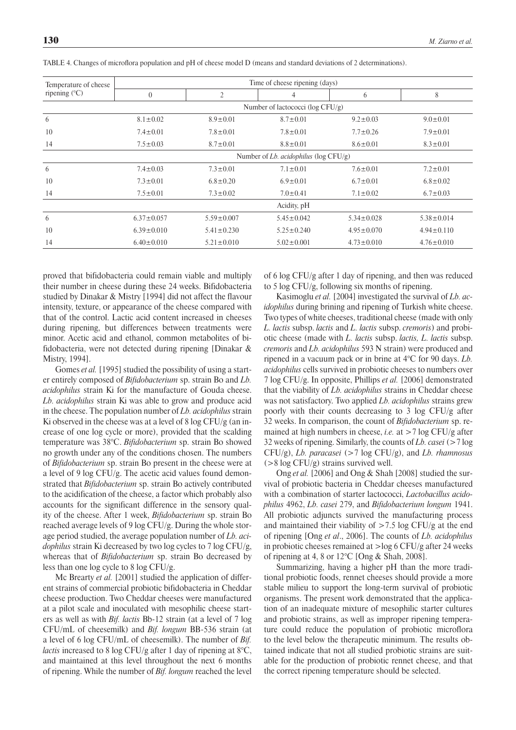| Temperature of cheese<br>ripening $(C)$ | Time of cheese ripening (days)            |                  |                  |                  |                  |  |  |
|-----------------------------------------|-------------------------------------------|------------------|------------------|------------------|------------------|--|--|
|                                         | $\overline{0}$                            | $\overline{2}$   | 4                | 6                | 8                |  |  |
|                                         | Number of lactococci (log $CFU/g$ )       |                  |                  |                  |                  |  |  |
| 6                                       | $8.1 \pm 0.02$                            | $8.9 \pm 0.01$   | $8.7 \pm 0.01$   | $9.2 \pm 0.03$   | $9.0 \pm 0.01$   |  |  |
| 10                                      | $7.4 \pm 0.01$                            | $7.8 \pm 0.01$   | $7.8 \pm 0.01$   | $7.7 \pm 0.26$   | $7.9 \pm 0.01$   |  |  |
| 14                                      | $7.5 \pm 0.03$                            | $8.7 \pm 0.01$   | $8.8 \pm 0.01$   | $8.6 \pm 0.01$   | $8.3 \pm 0.01$   |  |  |
|                                         | Number of Lb. acidophilus ( $log CFU/g$ ) |                  |                  |                  |                  |  |  |
| 6                                       | $7.4 \pm 0.03$                            | $7.3 \pm 0.01$   | $7.1 \pm 0.01$   | $7.6 \pm 0.01$   | $7.2 \pm 0.01$   |  |  |
| 10                                      | $7.3 \pm 0.01$                            | $6.8 \pm 0.20$   | $6.9 \pm 0.01$   | $6.7 \pm 0.01$   | $6.8 \pm 0.02$   |  |  |
| 14                                      | $7.5 \pm 0.01$                            | $7.3 \pm 0.02$   | $7.0 \pm 0.41$   | $7.1 \pm 0.02$   | $6.7 \pm 0.03$   |  |  |
|                                         | Acidity, pH                               |                  |                  |                  |                  |  |  |
| 6                                       | $6.37 \pm 0.057$                          | $5.59 \pm 0.007$ | $5.45 \pm 0.042$ | $5.34 \pm 0.028$ | $5.38 \pm 0.014$ |  |  |
| 10                                      | $6.39 \pm 0.010$                          | $5.41 \pm 0.230$ | $5.25 \pm 0.240$ | $4.95 \pm 0.070$ | $4.94 \pm 0.110$ |  |  |
| 14                                      | $6.40 \pm 0.010$                          | $5.21 \pm 0.010$ | $5.02 \pm 0.001$ | $4.73 \pm 0.010$ | $4.76 \pm 0.010$ |  |  |

Table 4. Changes of microflora population and pH of cheese model D (means and standard deviations of 2 determinations).

proved that bifidobacteria could remain viable and multiply their number in cheese during these 24 weeks. Bifidobacteria studied by Dinakar & Mistry [1994] did not affect the flavour intensity, texture, or appearance of the cheese compared with that of the control. Lactic acid content increased in cheeses during ripening, but differences between treatments were minor. Acetic acid and ethanol, common metabolites of bifidobacteria, were not detected during ripening [Dinakar & Mistry, 1994].

Gomes *et al.* [1995] studied the possibility of using a starter entirely composed of *Bifidobacterium* sp. strain Bo and *Lb. acidophilus* strain Ki for the manufacture of Gouda cheese. *Lb. acidophilus* strain Ki was able to grow and produce acid in the cheese. The population number of *Lb. acidophilus* strain Ki observed in the cheese was at a level of 8 log CFU/g (an increase of one log cycle or more), provided that the scalding temperature was 38°C. *Bifidobacterium* sp. strain Bo showed no growth under any of the conditions chosen. The numbers of *Bifidobacterium* sp. strain Bo present in the cheese were at a level of 9 log CFU/g. The acetic acid values found demonstrated that *Bifidobacterium* sp. strain Bo actively contributed to the acidification of the cheese, a factor which probably also accounts for the significant difference in the sensory quality of the cheese. After 1 week, *Bifidobacterium* sp. strain Bo reached average levels of 9 log CFU/g. During the whole storage period studied, the average population number of *Lb. acidophilus* strain Ki decreased by two log cycles to 7 log CFU/g, whereas that of *Bifidobacterium* sp. strain Bo decreased by less than one log cycle to 8 log CFU/g.

Mc Brearty *et al.* [2001] studied the application of different strains of commercial probiotic bifidobacteria in Cheddar cheese production. Two Cheddar cheeses were manufactured at a pilot scale and inoculated with mesophilic cheese starters as well as with *Bif. lactis* Bb-12 strain (at a level of 7 log CFU/mL of cheesemilk) and *Bif. longum* BB-536 strain (at a level of 6 log CFU/mL of cheesemilk). The number of *Bif. lactis* increased to 8 log CFU/g after 1 day of ripening at 8°C, and maintained at this level throughout the next 6 months of ripening. While the number of *Bif. longum* reached the level

of 6 log CFU/g after 1 day of ripening, and then was reduced to 5 log CFU/g, following six months of ripening.

Kasimoglu *et al.* [2004] investigated the survival of *Lb. acidophilus* during brining and ripening of Turkish white cheese. Two types of white cheeses, traditional cheese (made with only *L. lactis* subsp. *lactis* and *L. lactis* subsp. *cremoris*) and probiotic cheese (made with *L. lactis* subsp. *lactis, L. lactis* subsp. *cremoris* and *Lb. acidophilus* 593 N strain) were produced and ripened in a vacuum pack or in brine at 4°C for 90 days. *Lb. acidophilus* cells survived in probiotic cheeses to numbers over 7 log CFU/g. In opposite, Phillips *et al.* [2006] demonstrated that the viability of *Lb. acidophilus* strains in Cheddar cheese was not satisfactory. Two applied *Lb. acidophilus* strains grew poorly with their counts decreasing to 3 log CFU/g after 32 weeks. In comparison, the count of *Bifidobacterium* sp. remained at high numbers in cheese, *i.e.* at >7 log CFU/g after 32 weeks of ripening. Similarly, the counts of *Lb. casei* (>7 log CFU/g), *Lb. paracasei* (>7 log CFU/g), and *Lb. rhamnosus*  $(>8 \log CFU/g)$  strains survived well.

Ong *et al.* [2006] and Ong & Shah [2008] studied the survival of probiotic bacteria in Cheddar cheeses manufactured with a combination of starter lactococci, *Lactobacillus acidophilus* 4962, *Lb. casei* 279, and *Bifidobacterium longum* 1941. All probiotic adjuncts survived the manufacturing process and maintained their viability of  $>7.5$  log CFU/g at the end of ripening [Ong *et al*., 2006]. The counts of *Lb. acidophilus* in probiotic cheeses remained at >log 6 CFU/g after 24 weeks of ripening at 4, 8 or  $12^{\circ}$ C [Ong & Shah, 2008].

Summarizing, having a higher pH than the more traditional probiotic foods, rennet cheeses should provide a more stable milieu to support the long-term survival of probiotic organisms. The present work demonstrated that the application of an inadequate mixture of mesophilic starter cultures and probiotic strains, as well as improper ripening temperature could reduce the population of probiotic microflora to the level below the therapeutic minimum. The results obtained indicate that not all studied probiotic strains are suitable for the production of probiotic rennet cheese, and that the correct ripening temperature should be selected.